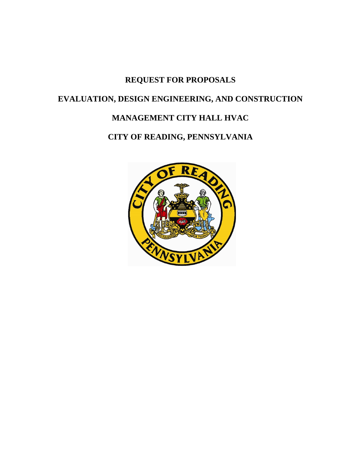# **REQUEST FOR PROPOSALS EVALUATION, DESIGN ENGINEERING, AND CONSTRUCTION MANAGEMENT CITY HALL HVAC CITY OF READING, PENNSYLVANIA**

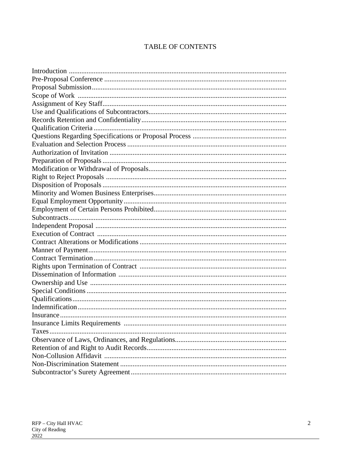# TABLE OF CONTENTS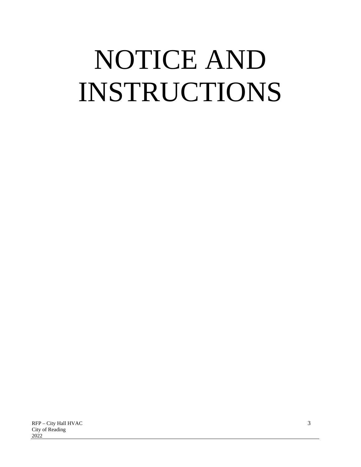# NOTICE AND INSTRUCTIONS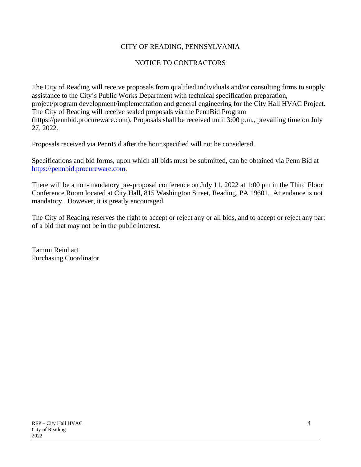#### CITY OF READING, PENNSYLVANIA

#### NOTICE TO CONTRACTORS

The City of Reading will receive proposals from qualified individuals and/or consulting firms to supply assistance to the City's Public Works Department with technical specification preparation, project/program development/implementation and general engineering for the City Hall HVAC Project. The City of Reading will receive sealed proposals via the PennBid Program (https://pennbid.procureware.com). Proposals shall be received until 3:00 p.m., prevailing time on July 27, 2022.

Proposals received via PennBid after the hour specified will not be considered.

Specifications and bid forms, upon which all bids must be submitted, can be obtained via Penn Bid at [https://pennbid.procureware.com.](https://pennbid.procureware.com/)

There will be a non-mandatory pre-proposal conference on July 11, 2022 at 1:00 pm in the Third Floor Conference Room located at City Hall, 815 Washington Street, Reading, PA 19601. Attendance is not mandatory. However, it is greatly encouraged.

The City of Reading reserves the right to accept or reject any or all bids, and to accept or reject any part of a bid that may not be in the public interest.

Tammi Reinhart Purchasing Coordinator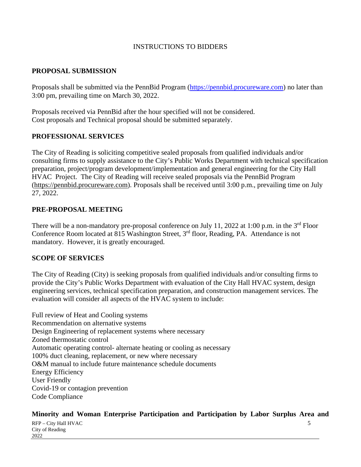#### INSTRUCTIONS TO BIDDERS

#### **PROPOSAL SUBMISSION**

Proposals shall be submitted via the PennBid Program [\(https://pennbid.procureware.com\)](https://pennbid.procureware.com/) no later than 3:00 pm, prevailing time on March 30, 2022.

Proposals received via PennBid after the hour specified will not be considered. Cost proposals and Technical proposal should be submitted separately.

#### **PROFESSIONAL SERVICES**

The City of Reading is soliciting competitive sealed proposals from qualified individuals and/or consulting firms to supply assistance to the City's Public Works Department with technical specification preparation, project/program development/implementation and general engineering for the City Hall HVAC Project. The City of Reading will receive sealed proposals via the PennBid Program (https://pennbid.procureware.com). Proposals shall be received until 3:00 p.m., prevailing time on July 27, 2022.

#### **PRE-PROPOSAL MEETING**

There will be a non-mandatory pre-proposal conference on July 11, 2022 at 1:00 p.m. in the  $3<sup>rd</sup>$  Floor Conference Room located at 815 Washington Street, 3<sup>rd</sup> floor, Reading, PA. Attendance is not mandatory. However, it is greatly encouraged.

#### **SCOPE OF SERVICES**

The City of Reading (City) is seeking proposals from qualified individuals and/or consulting firms to provide the City's Public Works Department with evaluation of the City Hall HVAC system, design engineering services, technical specification preparation, and construction management services. The evaluation will consider all aspects of the HVAC system to include:

Full review of Heat and Cooling systems Recommendation on alternative systems Design Engineering of replacement systems where necessary Zoned thermostatic control Automatic operating control- alternate heating or cooling as necessary 100% duct cleaning, replacement, or new where necessary O&M manual to include future maintenance schedule documents Energy Efficiency User Friendly Covid-19 or contagion prevention Code Compliance

**Minority and Woman Enterprise Participation and Participation by Labor Surplus Area and** 

RFP – City Hall HVAC 5 City of Reading 2022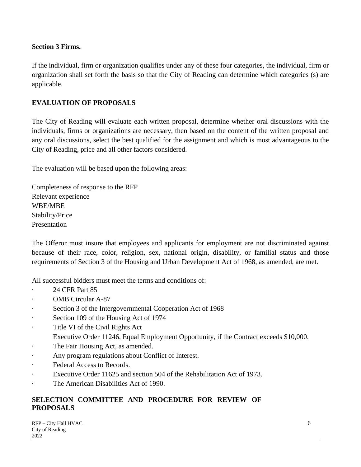#### **Section 3 Firms.**

If the individual, firm or organization qualifies under any of these four categories, the individual, firm or organization shall set forth the basis so that the City of Reading can determine which categories (s) are applicable.

# **EVALUATION OF PROPOSALS**

The City of Reading will evaluate each written proposal, determine whether oral discussions with the individuals, firms or organizations are necessary, then based on the content of the written proposal and any oral discussions, select the best qualified for the assignment and which is most advantageous to the City of Reading, price and all other factors considered.

The evaluation will be based upon the following areas:

Completeness of response to the RFP Relevant experience WBE/MBE Stability/Price Presentation

The Offeror must insure that employees and applicants for employment are not discriminated against because of their race, color, religion, sex, national origin, disability, or familial status and those requirements of Section 3 of the Housing and Urban Development Act of 1968, as amended, are met.

All successful bidders must meet the terms and conditions of:

- 24 CFR Part 85
- OMB Circular A-87
- Section 3 of the Intergovernmental Cooperation Act of 1968
- Section 109 of the Housing Act of 1974
- Title VI of the Civil Rights Act Executive Order 11246, Equal Employment Opportunity, if the Contract exceeds \$10,000.
- The Fair Housing Act, as amended.
- Any program regulations about Conflict of Interest.
- Federal Access to Records.
- Executive Order 11625 and section 504 of the Rehabilitation Act of 1973.
- The American Disabilities Act of 1990.

#### **SELECTION COMMITTEE AND PROCEDURE FOR REVIEW OF PROPOSALS**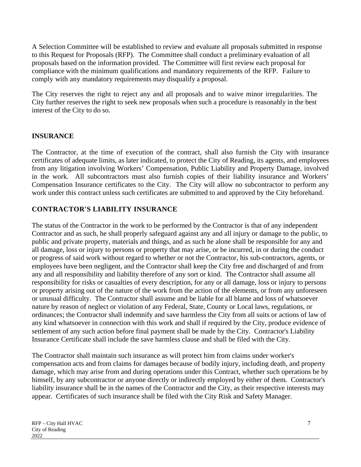A Selection Committee will be established to review and evaluate all proposals submitted in response to this Request for Proposals (RFP). The Committee shall conduct a preliminary evaluation of all proposals based on the information provided. The Committee will first review each proposal for compliance with the minimum qualifications and mandatory requirements of the RFP. Failure to comply with any mandatory requirements may disqualify a proposal.

The City reserves the right to reject any and all proposals and to waive minor irregularities. The City further reserves the right to seek new proposals when such a procedure is reasonably in the best interest of the City to do so.

#### **INSURANCE**

The Contractor, at the time of execution of the contract, shall also furnish the City with insurance certificates of adequate limits, as later indicated, to protect the City of Reading, its agents, and employees from any litigation involving Workers' Compensation, Public Liability and Property Damage, involved in the work. All subcontractors must also furnish copies of their liability insurance and Workers' Compensation Insurance certificates to the City. The City will allow no subcontractor to perform any work under this contract unless such certificates are submitted to and approved by the City beforehand.

# **CONTRACTOR'S LIABILITY INSURANCE**

The status of the Contractor in the work to be performed by the Contractor is that of any independent Contractor and as such, he shall properly safeguard against any and all injury or damage to the public, to public and private property, materials and things, and as such he alone shall be responsible for any and all damage, loss or injury to persons or property that may arise, or be incurred, in or during the conduct or progress of said work without regard to whether or not the Contractor, his sub-contractors, agents, or employees have been negligent, and the Contractor shall keep the City free and discharged of and from any and all responsibility and liability therefore of any sort or kind. The Contractor shall assume all responsibility for risks or casualties of every description, for any or all damage, loss or injury to persons or property arising out of the nature of the work from the action of the elements, or from any unforeseen or unusual difficulty. The Contractor shall assume and be liable for all blame and loss of whatsoever nature by reason of neglect or violation of any Federal, State, County or Local laws, regulations, or ordinances; the Contractor shall indemnify and save harmless the City from all suits or actions of law of any kind whatsoever in connection with this work and shall if required by the City, produce evidence of settlement of any such action before final payment shall be made by the City. Contractor's Liability Insurance Certificate shall include the save harmless clause and shall be filed with the City.

The Contractor shall maintain such insurance as will protect him from claims under worker's compensation acts and from claims for damages because of bodily injury, including death, and property damage, which may arise from and during operations under this Contract, whether such operations be by himself, by any subcontractor or anyone directly or indirectly employed by either of them. Contractor's liability insurance shall be in the names of the Contractor and the City, as their respective interests may appear. Certificates of such insurance shall be filed with the City Risk and Safety Manager.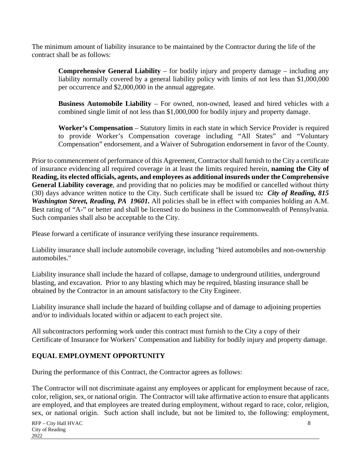The minimum amount of liability insurance to be maintained by the Contractor during the life of the contract shall be as follows:

**Comprehensive General Liability** – for bodily injury and property damage – including any liability normally covered by a general liability policy with limits of not less than \$1,000,000 per occurrence and \$2,000,000 in the annual aggregate.

**Business Automobile Liability** – For owned, non-owned, leased and hired vehicles with a combined single limit of not less than \$1,000,000 for bodily injury and property damage.

**Worker's Compensation** – Statutory limits in each state in which Service Provider is required to provide Worker's Compensation coverage including "All States" and "Voluntary Compensation" endorsement, and a Waiver of Subrogation endorsement in favor of the County.

Prior to commencement of performance of this Agreement, Contractor shall furnish to the City a certificate of insurance evidencing all required coverage in at least the limits required herein, **naming the City of Reading, its elected officials, agents, and employees as additional insureds under the Comprehensive General Liability coverage**, and providing that no policies may be modified or cancelled without thirty (30) days advance written notice to the City. Such certificate shall be issued to*: City of Reading, 815 Washington Street, Reading, PA 19601.* All policies shall be in effect with companies holding an A.M. Best rating of "A-" or better and shall be licensed to do business in the Commonwealth of Pennsylvania. Such companies shall also be acceptable to the City.

Please forward a certificate of insurance verifying these insurance requirements.

Liability insurance shall include automobile coverage, including "hired automobiles and non-ownership automobiles."

Liability insurance shall include the hazard of collapse, damage to underground utilities, underground blasting, and excavation. Prior to any blasting which may be required, blasting insurance shall be obtained by the Contractor in an amount satisfactory to the City Engineer.

Liability insurance shall include the hazard of building collapse and of damage to adjoining properties and/or to individuals located within or adjacent to each project site.

All subcontractors performing work under this contract must furnish to the City a copy of their Certificate of Insurance for Workers' Compensation and liability for bodily injury and property damage.

# **EQUAL EMPLOYMENT OPPORTUNITY**

During the performance of this Contract, the Contractor agrees as follows:

The Contractor will not discriminate against any employees or applicant for employment because of race, color, religion, sex, or national origin. The Contractor will take affirmative action to ensure that applicants are employed, and that employees are treated during employment, without regard to race, color, religion, sex, or national origin. Such action shall include, but not be limited to, the following: employment,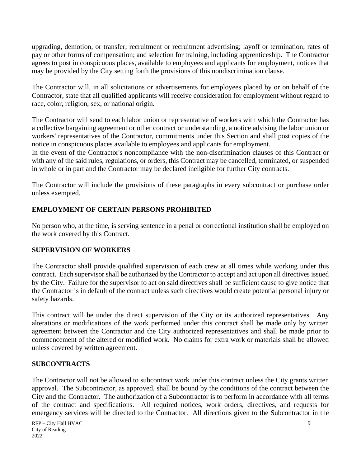upgrading, demotion, or transfer; recruitment or recruitment advertising; layoff or termination; rates of pay or other forms of compensation; and selection for training, including apprenticeship. The Contractor agrees to post in conspicuous places, available to employees and applicants for employment, notices that may be provided by the City setting forth the provisions of this nondiscrimination clause.

The Contractor will, in all solicitations or advertisements for employees placed by or on behalf of the Contractor, state that all qualified applicants will receive consideration for employment without regard to race, color, religion, sex, or national origin.

The Contractor will send to each labor union or representative of workers with which the Contractor has a collective bargaining agreement or other contract or understanding, a notice advising the labor union or workers' representatives of the Contractor, commitments under this Section and shall post copies of the notice in conspicuous places available to employees and applicants for employment.

In the event of the Contractor's noncompliance with the non-discrimination clauses of this Contract or with any of the said rules, regulations, or orders, this Contract may be cancelled, terminated, or suspended in whole or in part and the Contractor may be declared ineligible for further City contracts.

The Contractor will include the provisions of these paragraphs in every subcontract or purchase order unless exempted.

# **EMPLOYMENT OF CERTAIN PERSONS PROHIBITED**

No person who, at the time, is serving sentence in a penal or correctional institution shall be employed on the work covered by this Contract.

# **SUPERVISION OF WORKERS**

The Contractor shall provide qualified supervision of each crew at all times while working under this contract. Each supervisor shall be authorized by the Contractor to accept and act upon all directives issued by the City. Failure for the supervisor to act on said directives shall be sufficient cause to give notice that the Contractor is in default of the contract unless such directives would create potential personal injury or safety hazards.

This contract will be under the direct supervision of the City or its authorized representatives. Any alterations or modifications of the work performed under this contract shall be made only by written agreement between the Contractor and the City authorized representatives and shall be made prior to commencement of the altered or modified work. No claims for extra work or materials shall be allowed unless covered by written agreement.

# **SUBCONTRACTS**

The Contractor will not be allowed to subcontract work under this contract unless the City grants written approval. The Subcontractor, as approved, shall be bound by the conditions of the contract between the City and the Contractor. The authorization of a Subcontractor is to perform in accordance with all terms of the contract and specifications. All required notices, work orders, directives, and requests for emergency services will be directed to the Contractor. All directions given to the Subcontractor in the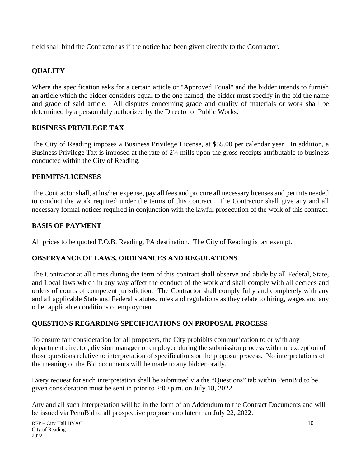field shall bind the Contractor as if the notice had been given directly to the Contractor.

# **QUALITY**

Where the specification asks for a certain article or "Approved Equal" and the bidder intends to furnish an article which the bidder considers equal to the one named, the bidder must specify in the bid the name and grade of said article. All disputes concerning grade and quality of materials or work shall be determined by a person duly authorized by the Director of Public Works.

# **BUSINESS PRIVILEGE TAX**

The City of Reading imposes a Business Privilege License, at \$55.00 per calendar year. In addition, a Business Privilege Tax is imposed at the rate of 2¼ mills upon the gross receipts attributable to business conducted within the City of Reading.

#### **PERMITS/LICENSES**

The Contractor shall, at his/her expense, pay all fees and procure all necessary licenses and permits needed to conduct the work required under the terms of this contract. The Contractor shall give any and all necessary formal notices required in conjunction with the lawful prosecution of the work of this contract.

# **BASIS OF PAYMENT**

All prices to be quoted F.O.B. Reading, PA destination. The City of Reading is tax exempt.

# **OBSERVANCE OF LAWS, ORDINANCES AND REGULATIONS**

The Contractor at all times during the term of this contract shall observe and abide by all Federal, State, and Local laws which in any way affect the conduct of the work and shall comply with all decrees and orders of courts of competent jurisdiction. The Contractor shall comply fully and completely with any and all applicable State and Federal statutes, rules and regulations as they relate to hiring, wages and any other applicable conditions of employment.

# **QUESTIONS REGARDING SPECIFICATIONS ON PROPOSAL PROCESS**

To ensure fair consideration for all proposers, the City prohibits communication to or with any department director, division manager or employee during the submission process with the exception of those questions relative to interpretation of specifications or the proposal process. No interpretations of the meaning of the Bid documents will be made to any bidder orally.

Every request for such interpretation shall be submitted via the "Questions" tab within PennBid to be given consideration must be sent in prior to 2:00 p.m. on July 18, 2022.

Any and all such interpretation will be in the form of an Addendum to the Contract Documents and will be issued via PennBid to all prospective proposers no later than July 22, 2022.

RFP – City Hall HVAC 10 City of Reading 2022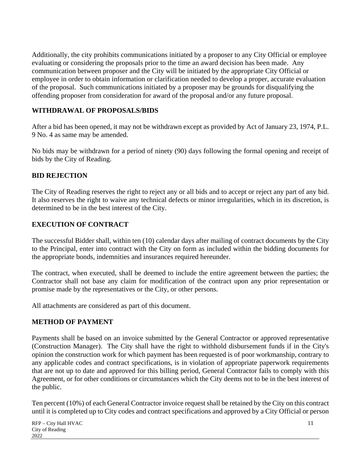Additionally, the city prohibits communications initiated by a proposer to any City Official or employee evaluating or considering the proposals prior to the time an award decision has been made. Any communication between proposer and the City will be initiated by the appropriate City Official or employee in order to obtain information or clarification needed to develop a proper, accurate evaluation of the proposal. Such communications initiated by a proposer may be grounds for disqualifying the offending proposer from consideration for award of the proposal and/or any future proposal.

#### **WITHDRAWAL OF PROPOSALS/BIDS**

After a bid has been opened, it may not be withdrawn except as provided by Act of January 23, 1974, P.L. 9 No. 4 as same may be amended.

No bids may be withdrawn for a period of ninety (90) days following the formal opening and receipt of bids by the City of Reading.

#### **BID REJECTION**

The City of Reading reserves the right to reject any or all bids and to accept or reject any part of any bid. It also reserves the right to waive any technical defects or minor irregularities, which in its discretion, is determined to be in the best interest of the City.

#### **EXECUTION OF CONTRACT**

The successful Bidder shall, within ten (10) calendar days after mailing of contract documents by the City to the Principal, enter into contract with the City on form as included within the bidding documents for the appropriate bonds, indemnities and insurances required hereunder.

The contract, when executed, shall be deemed to include the entire agreement between the parties; the Contractor shall not base any claim for modification of the contract upon any prior representation or promise made by the representatives or the City, or other persons.

All attachments are considered as part of this document.

#### **METHOD OF PAYMENT**

Payments shall be based on an invoice submitted by the General Contractor or approved representative (Construction Manager). The City shall have the right to withhold disbursement funds if in the City's opinion the construction work for which payment has been requested is of poor workmanship, contrary to any applicable codes and contract specifications, is in violation of appropriate paperwork requirements that are not up to date and approved for this billing period, General Contractor fails to comply with this Agreement, or for other conditions or circumstances which the City deems not to be in the best interest of the public.

Ten percent (10%) of each General Contractor invoice request shall be retained by the City on this contract until it is completed up to City codes and contract specifications and approved by a City Official or person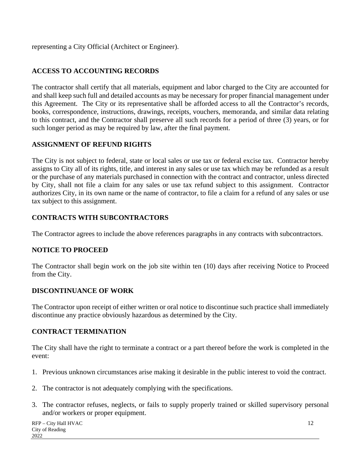representing a City Official (Architect or Engineer).

# **ACCESS TO ACCOUNTING RECORDS**

The contractor shall certify that all materials, equipment and labor charged to the City are accounted for and shall keep such full and detailed accounts as may be necessary for proper financial management under this Agreement. The City or its representative shall be afforded access to all the Contractor's records, books, correspondence, instructions, drawings, receipts, vouchers, memoranda, and similar data relating to this contract, and the Contractor shall preserve all such records for a period of three (3) years, or for such longer period as may be required by law, after the final payment.

# **ASSIGNMENT OF REFUND RIGHTS**

The City is not subject to federal, state or local sales or use tax or federal excise tax. Contractor hereby assigns to City all of its rights, title, and interest in any sales or use tax which may be refunded as a result or the purchase of any materials purchased in connection with the contract and contractor, unless directed by City, shall not file a claim for any sales or use tax refund subject to this assignment. Contractor authorizes City, in its own name or the name of contractor, to file a claim for a refund of any sales or use tax subject to this assignment.

# **CONTRACTS WITH SUBCONTRACTORS**

The Contractor agrees to include the above references paragraphs in any contracts with subcontractors.

# **NOTICE TO PROCEED**

The Contractor shall begin work on the job site within ten (10) days after receiving Notice to Proceed from the City.

# **DISCONTINUANCE OF WORK**

The Contractor upon receipt of either written or oral notice to discontinue such practice shall immediately discontinue any practice obviously hazardous as determined by the City.

# **CONTRACT TERMINATION**

The City shall have the right to terminate a contract or a part thereof before the work is completed in the event:

- 1. Previous unknown circumstances arise making it desirable in the public interest to void the contract.
- 2. The contractor is not adequately complying with the specifications.
- 3. The contractor refuses, neglects, or fails to supply properly trained or skilled supervisory personal and/or workers or proper equipment.

RFP – City Hall HVAC 12 City of Reading 2022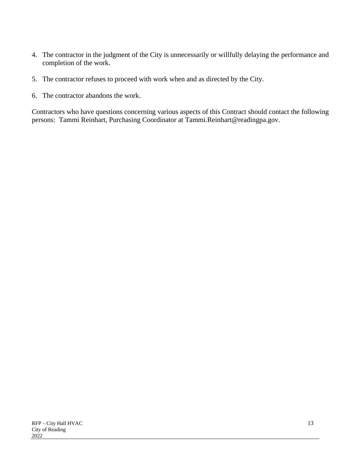- 4. The contractor in the judgment of the City is unnecessarily or willfully delaying the performance and completion of the work.
- 5. The contractor refuses to proceed with work when and as directed by the City.
- 6. The contractor abandons the work.

Contractors who have questions concerning various aspects of this Contract should contact the following persons: Tammi Reinhart, Purchasing Coordinator at Tammi.Reinhart@readingpa.gov.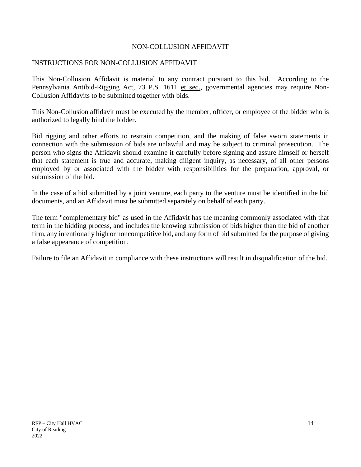#### NON-COLLUSION AFFIDAVIT

#### INSTRUCTIONS FOR NON-COLLUSION AFFIDAVIT

This Non-Collusion Affidavit is material to any contract pursuant to this bid. According to the Pennsylvania Antibid-Rigging Act, 73 P.S. 1611 et seq., governmental agencies may require Non-Collusion Affidavits to be submitted together with bids.

This Non-Collusion affidavit must be executed by the member, officer, or employee of the bidder who is authorized to legally bind the bidder.

Bid rigging and other efforts to restrain competition, and the making of false sworn statements in connection with the submission of bids are unlawful and may be subject to criminal prosecution. The person who signs the Affidavit should examine it carefully before signing and assure himself or herself that each statement is true and accurate, making diligent inquiry, as necessary, of all other persons employed by or associated with the bidder with responsibilities for the preparation, approval, or submission of the bid.

In the case of a bid submitted by a joint venture, each party to the venture must be identified in the bid documents, and an Affidavit must be submitted separately on behalf of each party.

The term "complementary bid" as used in the Affidavit has the meaning commonly associated with that term in the bidding process, and includes the knowing submission of bids higher than the bid of another firm, any intentionally high or noncompetitive bid, and any form of bid submitted for the purpose of giving a false appearance of competition.

Failure to file an Affidavit in compliance with these instructions will result in disqualification of the bid.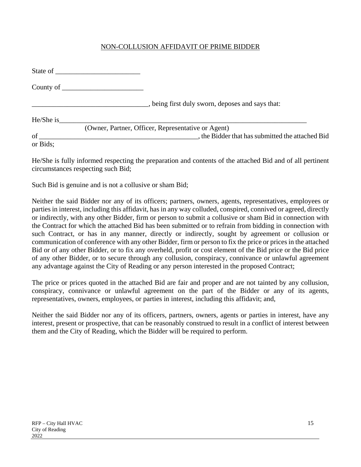#### NON-COLLUSION AFFIDAVIT OF PRIME BIDDER

|           | County of $\frac{1}{\sqrt{1-\frac{1}{2}}}\left\vert \frac{1}{\sqrt{1-\frac{1}{2}}}\right\vert$ |
|-----------|------------------------------------------------------------------------------------------------|
|           | being first duly sworn, deposes and says that:                                                 |
| He/She is |                                                                                                |
|           | (Owner, Partner, Officer, Representative or Agent)                                             |
|           |                                                                                                |
| or Bids;  |                                                                                                |

He/She is fully informed respecting the preparation and contents of the attached Bid and of all pertinent circumstances respecting such Bid;

Such Bid is genuine and is not a collusive or sham Bid;

Neither the said Bidder nor any of its officers; partners, owners, agents, representatives, employees or parties in interest, including this affidavit, has in any way colluded, conspired, connived or agreed, directly or indirectly, with any other Bidder, firm or person to submit a collusive or sham Bid in connection with the Contract for which the attached Bid has been submitted or to refrain from bidding in connection with such Contract, or has in any manner, directly or indirectly, sought by agreement or collusion or communication of conference with any other Bidder, firm or person to fix the price or prices in the attached Bid or of any other Bidder, or to fix any overheld, profit or cost element of the Bid price or the Bid price of any other Bidder, or to secure through any collusion, conspiracy, connivance or unlawful agreement any advantage against the City of Reading or any person interested in the proposed Contract;

The price or prices quoted in the attached Bid are fair and proper and are not tainted by any collusion, conspiracy, connivance or unlawful agreement on the part of the Bidder or any of its agents, representatives, owners, employees, or parties in interest, including this affidavit; and,

Neither the said Bidder nor any of its officers, partners, owners, agents or parties in interest, have any interest, present or prospective, that can be reasonably construed to result in a conflict of interest between them and the City of Reading, which the Bidder will be required to perform.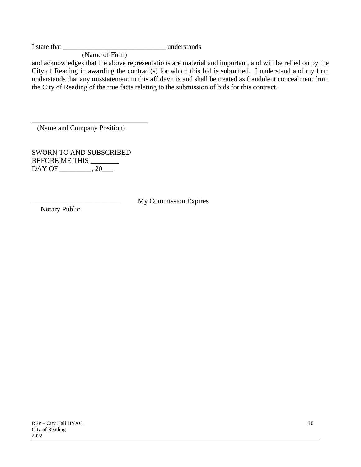I state that \_\_\_\_\_\_\_\_\_\_\_\_\_\_\_\_\_\_\_\_\_\_\_\_\_\_\_\_\_ understands

(Name of Firm)

and acknowledges that the above representations are material and important, and will be relied on by the City of Reading in awarding the contract(s) for which this bid is submitted. I understand and my firm understands that any misstatement in this affidavit is and shall be treated as fraudulent concealment from the City of Reading of the true facts relating to the submission of bids for this contract.

\_\_\_\_\_\_\_\_\_\_\_\_\_\_\_\_\_\_\_\_\_\_\_\_\_\_\_\_\_\_\_\_\_ (Name and Company Position)

SWORN TO AND SUBSCRIBED BEFORE ME THIS DAY OF \_\_\_\_\_\_\_\_, 20\_\_\_\_

\_\_\_\_\_\_\_\_\_\_\_\_\_\_\_\_\_\_\_\_\_\_\_\_\_ My Commission Expires

Notary Public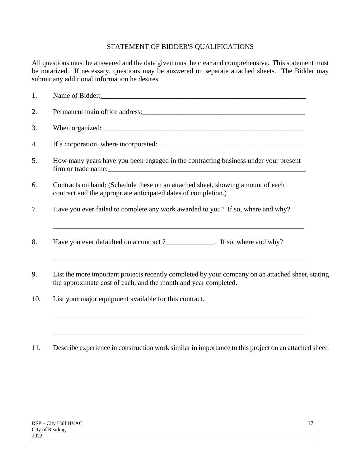#### STATEMENT OF BIDDER'S QUALIFICATIONS

All questions must be answered and the data given must be clear and comprehensive. This statement must be notarized. If necessary, questions may be answered on separate attached sheets. The Bidder may submit any additional information he desires.

| How many years have you been engaged in the contracting business under your present                                                                                  |
|----------------------------------------------------------------------------------------------------------------------------------------------------------------------|
| Contracts on hand: (Schedule these on an attached sheet, showing amount of each<br>contract and the appropriate anticipated dates of completion.)                    |
| Have you ever failed to complete any work awarded to you? If so, where and why?                                                                                      |
| Have you ever defaulted on a contract ?_______________. If so, where and why?                                                                                        |
| ,我们也不能在这里的时候,我们也不能在这里的时候,我们也不能会在这里的时候,我们也不能会在这里的时候,我们也不能会在这里的时候,我们也不能会在这里的时候,我们也不                                                                                    |
| List the more important projects recently completed by your company on an attached sheet, stating<br>the approximate cost of each, and the month and year completed. |

- 10. List your major equipment available for this contract.
- 11. Describe experience in construction work similar in importance to this project on an attached sheet.

\_\_\_\_\_\_\_\_\_\_\_\_\_\_\_\_\_\_\_\_\_\_\_\_\_\_\_\_\_\_\_\_\_\_\_\_\_\_\_\_\_\_\_\_\_\_\_\_\_\_\_\_\_\_\_\_\_\_\_\_\_\_\_\_\_\_\_\_\_\_\_

\_\_\_\_\_\_\_\_\_\_\_\_\_\_\_\_\_\_\_\_\_\_\_\_\_\_\_\_\_\_\_\_\_\_\_\_\_\_\_\_\_\_\_\_\_\_\_\_\_\_\_\_\_\_\_\_\_\_\_\_\_\_\_\_\_\_\_\_\_\_\_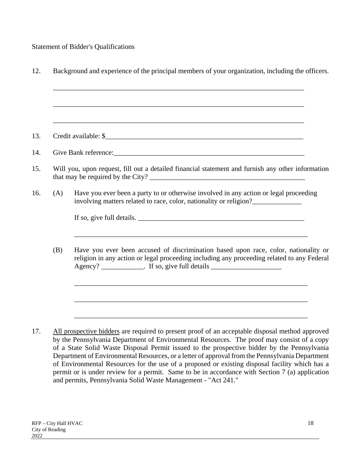Statement of Bidder's Qualifications

|     | Will you, upon request, fill out a detailed financial statement and furnish any other information                                                                                                                                                                      |
|-----|------------------------------------------------------------------------------------------------------------------------------------------------------------------------------------------------------------------------------------------------------------------------|
| (A) | Have you ever been a party to or otherwise involved in any action or legal proceeding<br>involving matters related to race, color, nationality or religion?                                                                                                            |
|     | If so, give full details.                                                                                                                                                                                                                                              |
| (B) | Have you ever been accused of discrimination based upon race, color, nationality or<br>religion in any action or legal proceeding including any proceeding related to any Federal<br>Agency? ______________. If so, give full details ________________________________ |

of a State Solid Waste Disposal Permit issued to the prospective bidder by the Pennsylvania Department of Environmental Resources, or a letter of approval from the Pennsylvania Department of Environmental Resources for the use of a proposed or existing disposal facility which has a permit or is under review for a permit. Same to be in accordance with Section 7 (a) application and permits, Pennsylvania Solid Waste Management - "Act 241."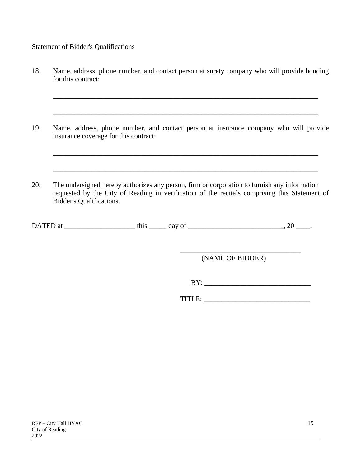Statement of Bidder's Qualifications

18. Name, address, phone number, and contact person at surety company who will provide bonding for this contract:

\_\_\_\_\_\_\_\_\_\_\_\_\_\_\_\_\_\_\_\_\_\_\_\_\_\_\_\_\_\_\_\_\_\_\_\_\_\_\_\_\_\_\_\_\_\_\_\_\_\_\_\_\_\_\_\_\_\_\_\_\_\_\_\_\_\_\_\_\_\_\_\_\_\_\_

\_\_\_\_\_\_\_\_\_\_\_\_\_\_\_\_\_\_\_\_\_\_\_\_\_\_\_\_\_\_\_\_\_\_\_\_\_\_\_\_\_\_\_\_\_\_\_\_\_\_\_\_\_\_\_\_\_\_\_\_\_\_\_\_\_\_\_\_\_\_\_\_\_\_\_

\_\_\_\_\_\_\_\_\_\_\_\_\_\_\_\_\_\_\_\_\_\_\_\_\_\_\_\_\_\_\_\_\_\_\_\_\_\_\_\_\_\_\_\_\_\_\_\_\_\_\_\_\_\_\_\_\_\_\_\_\_\_\_\_\_\_\_\_\_\_\_\_\_\_\_

19. Name, address, phone number, and contact person at insurance company who will provide insurance coverage for this contract:

20. The undersigned hereby authorizes any person, firm or corporation to furnish any information requested by the City of Reading in verification of the recitals comprising this Statement of Bidder's Qualifications.

| $\overline{\phantom{0}}$<br>◡<br><br>___ | . | 12 V | _ |  |
|------------------------------------------|---|------|---|--|
|------------------------------------------|---|------|---|--|

\_\_\_\_\_\_\_\_\_\_\_\_\_\_\_\_\_\_\_\_\_\_\_\_\_\_\_\_\_\_\_\_\_\_ (NAME OF BIDDER)

BY: \_\_\_\_\_\_\_\_\_\_\_\_\_\_\_\_\_\_\_\_\_\_\_\_\_\_\_\_\_\_

TITLE: \_\_\_\_\_\_\_\_\_\_\_\_\_\_\_\_\_\_\_\_\_\_\_\_\_\_\_\_\_\_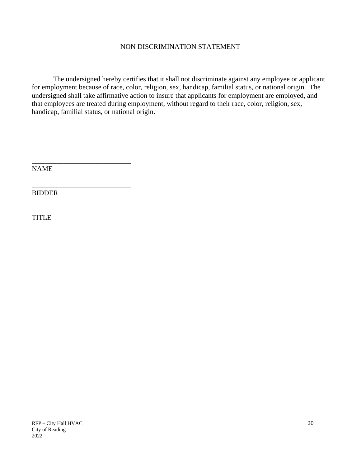#### NON DISCRIMINATION STATEMENT

The undersigned hereby certifies that it shall not discriminate against any employee or applicant for employment because of race, color, religion, sex, handicap, familial status, or national origin. The undersigned shall take affirmative action to insure that applicants for employment are employed, and that employees are treated during employment, without regard to their race, color, religion, sex, handicap, familial status, or national origin.

NAME

\_\_\_\_\_\_\_\_\_\_\_\_\_\_\_\_\_\_\_\_\_\_\_\_\_\_\_\_

\_\_\_\_\_\_\_\_\_\_\_\_\_\_\_\_\_\_\_\_\_\_\_\_\_\_\_\_

BIDDER

\_\_\_\_\_\_\_\_\_\_\_\_\_\_\_\_\_\_\_\_\_\_\_\_\_\_\_\_ TITLE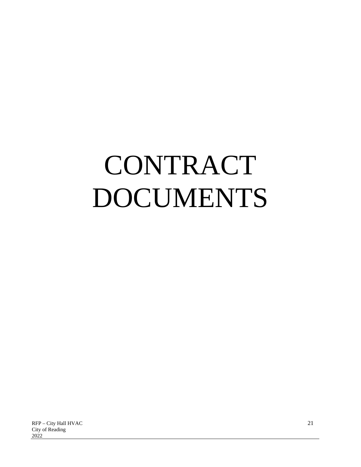# CONTRACT DOCUMENTS

RFP – City Hall HVAC 21 City of Reading 2022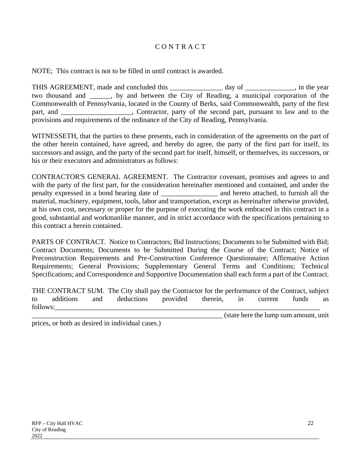#### C O N T R A C T

NOTE; This contract is not to be filled in until contract is awarded.

THIS AGREEMENT, made and concluded this \_\_\_\_\_\_\_\_\_\_\_\_\_\_\_ day of \_\_\_\_\_\_\_\_\_\_\_\_\_\_, in the year two thousand and \_\_\_\_\_\_, by and between the City of Reading, a municipal corporation of the Commonwealth of Pennsylvania, located in the County of Berks, said Commonwealth, party of the first part, and \_\_\_\_\_\_\_\_\_\_\_\_\_\_\_\_\_\_, Contractor, party of the second part, pursuant to law and to the provisions and requirements of the ordinance of the City of Reading, Pennsylvania.

WITNESSETH, that the parties to these presents, each in consideration of the agreements on the part of the other herein contained, have agreed, and hereby do agree, the party of the first part for itself, its successors and assign, and the party of the second part for itself, himself, or themselves, its successors, or his or their executors and administrators as follows:

CONTRACTOR'S GENERAL AGREEMENT. The Contractor covenant, promises and agrees to and with the party of the first part, for the consideration hereinafter mentioned and contained, and under the penalty expressed in a bond bearing date of \_\_\_\_\_\_\_\_\_\_\_\_\_\_\_\_ and hereto attached, to furnish all the material, machinery, equipment, tools, labor and transportation, except as hereinafter otherwise provided, at his own cost, necessary or proper for the purpose of executing the work embraced in this contract in a good, substantial and workmanlike manner, and in strict accordance with the specifications pertaining to this contract a herein contained.

PARTS OF CONTRACT. Notice to Contractors; Bid Instructions; Documents to be Submitted with Bid; Contract Documents; Documents to be Submitted During the Course of the Contract; Notice of Preconstruction Requirements and Pre-Construction Conference Questionnaire; Affirmative Action Requirements; General Provisions; Supplementary General Terms and Conditions; Technical Specifications; and Correspondence and Supportive Documentation shall each form a part of the Contract.

THE CONTRACT SUM. The City shall pay the Contractor for the performance of the Contract, subject to additions and deductions provided therein, in current funds as  $follows:$ 

\_\_\_\_\_\_\_\_\_\_\_\_\_\_\_\_\_\_\_\_\_\_\_\_\_\_\_\_\_\_\_\_\_\_\_\_\_\_\_\_\_\_\_\_\_\_\_\_\_\_\_\_\_\_ (state here the lump sum amount, unit

prices, or both as desired in individual cases.)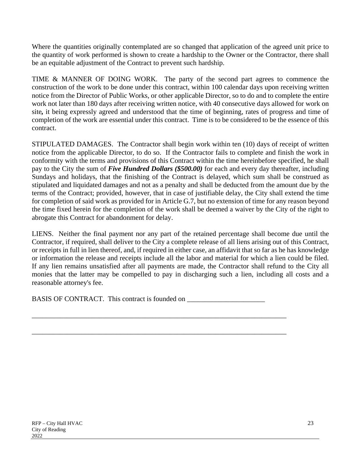Where the quantities originally contemplated are so changed that application of the agreed unit price to the quantity of work performed is shown to create a hardship to the Owner or the Contractor, there shall be an equitable adjustment of the Contract to prevent such hardship.

TIME & MANNER OF DOING WORK. The party of the second part agrees to commence the construction of the work to be done under this contract, within 100 calendar days upon receiving written notice from the Director of Public Works, or other applicable Director, so to do and to complete the entire work not later than 180 days after receiving written notice, with 40 consecutive days allowed for work on site*,* it being expressly agreed and understood that the time of beginning, rates of progress and time of completion of the work are essential under this contract. Time is to be considered to be the essence of this contract.

STIPULATED DAMAGES. The Contractor shall begin work within ten (10) days of receipt of written notice from the applicable Director, to do so. If the Contractor fails to complete and finish the work in conformity with the terms and provisions of this Contract within the time hereinbefore specified, he shall pay to the City the sum of *Five Hundred Dollars (\$500.00)* for each and every day thereafter, including Sundays and holidays, that the finishing of the Contract is delayed, which sum shall be construed as stipulated and liquidated damages and not as a penalty and shall be deducted from the amount due by the terms of the Contract; provided, however, that in case of justifiable delay, the City shall extend the time for completion of said work as provided for in Article G.7, but no extension of time for any reason beyond the time fixed herein for the completion of the work shall be deemed a waiver by the City of the right to abrogate this Contract for abandonment for delay.

LIENS. Neither the final payment nor any part of the retained percentage shall become due until the Contractor, if required, shall deliver to the City a complete release of all liens arising out of this Contract, or receipts in full in lien thereof, and, if required in either case, an affidavit that so far as he has knowledge or information the release and receipts include all the labor and material for which a lien could be filed. If any lien remains unsatisfied after all payments are made, the Contractor shall refund to the City all monies that the latter may be compelled to pay in discharging such a lien, including all costs and a reasonable attorney's fee.

BASIS OF CONTRACT. This contract is founded on \_\_\_\_\_\_\_\_\_\_\_\_\_\_\_\_\_\_\_\_\_\_\_\_\_\_\_\_\_\_\_\_\_

\_\_\_\_\_\_\_\_\_\_\_\_\_\_\_\_\_\_\_\_\_\_\_\_\_\_\_\_\_\_\_\_\_\_\_\_\_\_\_\_\_\_\_\_\_\_\_\_\_\_\_\_\_\_\_\_\_\_\_\_\_\_\_\_\_\_\_\_\_\_\_\_

\_\_\_\_\_\_\_\_\_\_\_\_\_\_\_\_\_\_\_\_\_\_\_\_\_\_\_\_\_\_\_\_\_\_\_\_\_\_\_\_\_\_\_\_\_\_\_\_\_\_\_\_\_\_\_\_\_\_\_\_\_\_\_\_\_\_\_\_\_\_\_\_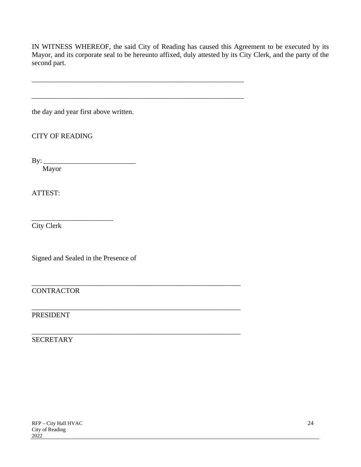IN WITNESS WHEREOF, the said City of Reading has caused this Agreement to be executed by its Mayor, and its corporate seal to be hereunto affixed, duly attested by its City Clerk, and the party of the second part.

\_\_\_\_\_\_\_\_\_\_\_\_\_\_\_\_\_\_\_\_\_\_\_\_\_\_\_\_\_\_\_\_\_\_\_\_\_\_\_\_\_\_\_\_\_\_\_\_\_\_\_\_\_\_\_\_\_\_\_\_

\_\_\_\_\_\_\_\_\_\_\_\_\_\_\_\_\_\_\_\_\_\_\_\_\_\_\_\_\_\_\_\_\_\_\_\_\_\_\_\_\_\_\_\_\_\_\_\_\_\_\_\_\_\_\_\_\_\_\_\_

\_\_\_\_\_\_\_\_\_\_\_\_\_\_\_\_\_\_\_\_\_\_\_\_\_\_\_\_\_\_\_\_\_\_\_\_\_\_\_\_\_\_\_\_\_\_\_\_\_\_\_\_\_\_\_\_\_\_\_

\_\_\_\_\_\_\_\_\_\_\_\_\_\_\_\_\_\_\_\_\_\_\_\_\_\_\_\_\_\_\_\_\_\_\_\_\_\_\_\_\_\_\_\_\_\_\_\_\_\_\_\_\_\_\_\_\_\_\_

the day and year first above written.

CITY OF READING

 $\mathbf{By:} \_\_$ 

Mayor

ATTEST:

City Clerk

Signed and Sealed in the Presence of

\_\_\_\_\_\_\_\_\_\_\_\_\_\_\_\_\_\_\_\_\_\_\_

**CONTRACTOR** 

#### \_\_\_\_\_\_\_\_\_\_\_\_\_\_\_\_\_\_\_\_\_\_\_\_\_\_\_\_\_\_\_\_\_\_\_\_\_\_\_\_\_\_\_\_\_\_\_\_\_\_\_\_\_\_\_\_\_\_\_ PRESIDENT

#### **SECRETARY**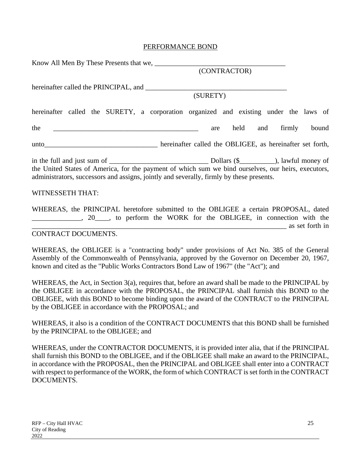#### PERFORMANCE BOND

|                                                                                                                                                                                                 | (CONTRACTOR) |      |     |        |       |
|-------------------------------------------------------------------------------------------------------------------------------------------------------------------------------------------------|--------------|------|-----|--------|-------|
|                                                                                                                                                                                                 |              |      |     |        |       |
|                                                                                                                                                                                                 | (SURETY)     |      |     |        |       |
| hereinafter called the SURETY, a corporation organized and existing under the laws of                                                                                                           |              |      |     |        |       |
| the                                                                                                                                                                                             | are          | held | and | firmly | bound |
| unto hereinafter called the OBLIGEE, as hereinafter set forth,                                                                                                                                  |              |      |     |        |       |
|                                                                                                                                                                                                 |              |      |     |        |       |
| the United States of America, for the payment of which sum we bind ourselves, our heirs, executors,<br>administrators, successors and assigns, jointly and severally, firmly by these presents. |              |      |     |        |       |

#### WITNESSETH THAT:

WHEREAS, the PRINCIPAL heretofore submitted to the OBLIGEE a certain PROPOSAL, dated \_\_\_\_\_\_\_\_\_\_\_\_\_\_, 20\_\_\_\_, to perform the WORK for the OBLIGEE, in connection with the \_\_\_\_\_\_\_\_\_\_\_\_\_\_\_\_\_\_\_\_\_\_\_\_\_\_\_\_\_\_\_\_\_\_\_\_\_\_\_\_\_\_\_\_\_\_\_\_\_\_\_\_\_\_\_\_\_\_\_\_\_\_\_\_\_\_\_\_\_\_\_\_ as set forth in

#### CONTRACT DOCUMENTS.

WHEREAS, the OBLIGEE is a "contracting body" under provisions of Act No. 385 of the General Assembly of the Commonwealth of Pennsylvania, approved by the Governor on December 20, 1967, known and cited as the "Public Works Contractors Bond Law of 1967" (the "Act"); and

WHEREAS, the Act, in Section 3(a), requires that, before an award shall be made to the PRINCIPAL by the OBLIGEE in accordance with the PROPOSAL, the PRINCIPAL shall furnish this BOND to the OBLIGEE, with this BOND to become binding upon the award of the CONTRACT to the PRINCIPAL by the OBLIGEE in accordance with the PROPOSAL; and

WHEREAS, it also is a condition of the CONTRACT DOCUMENTS that this BOND shall be furnished by the PRINCIPAL to the OBLIGEE; and

WHEREAS, under the CONTRACTOR DOCUMENTS, it is provided inter alia, that if the PRINCIPAL shall furnish this BOND to the OBLIGEE, and if the OBLIGEE shall make an award to the PRINCIPAL, in accordance with the PROPOSAL, then the PRINCIPAL and OBLIGEE shall enter into a CONTRACT with respect to performance of the WORK, the form of which CONTRACT is set forth in the CONTRACT DOCUMENTS.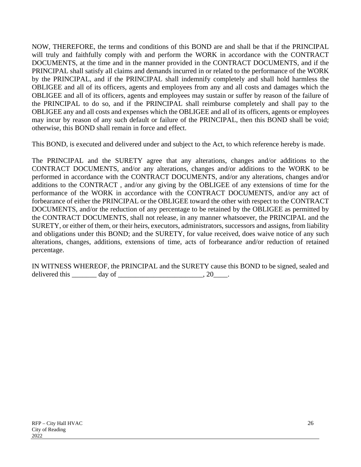NOW, THEREFORE, the terms and conditions of this BOND are and shall be that if the PRINCIPAL will truly and faithfully comply with and perform the WORK in accordance with the CONTRACT DOCUMENTS, at the time and in the manner provided in the CONTRACT DOCUMENTS, and if the PRINCIPAL shall satisfy all claims and demands incurred in or related to the performance of the WORK by the PRINCIPAL, and if the PRINCIPAL shall indemnify completely and shall hold harmless the OBLIGEE and all of its officers, agents and employees from any and all costs and damages which the OBLIGEE and all of its officers, agents and employees may sustain or suffer by reason of the failure of the PRINCIPAL to do so, and if the PRINCIPAL shall reimburse completely and shall pay to the OBLIGEE any and all costs and expenses which the OBLIGEE and all of its officers, agents or employees may incur by reason of any such default or failure of the PRINCIPAL, then this BOND shall be void; otherwise, this BOND shall remain in force and effect.

This BOND, is executed and delivered under and subject to the Act, to which reference hereby is made.

The PRINCIPAL and the SURETY agree that any alterations, changes and/or additions to the CONTRACT DOCUMENTS, and/or any alterations, changes and/or additions to the WORK to be performed in accordance with the CONTRACT DOCUMENTS, and/or any alterations, changes and/or additions to the CONTRACT , and/or any giving by the OBLIGEE of any extensions of time for the performance of the WORK in accordance with the CONTRACT DOCUMENTS, and/or any act of forbearance of either the PRINCIPAL or the OBLIGEE toward the other with respect to the CONTRACT DOCUMENTS, and/or the reduction of any percentage to be retained by the OBLIGEE as permitted by the CONTRACT DOCUMENTS, shall not release, in any manner whatsoever, the PRINCIPAL and the SURETY, or either of them, or their heirs, executors, administrators, successors and assigns, from liability and obligations under this BOND; and the SURETY, for value received, does waive notice of any such alterations, changes, additions, extensions of time, acts of forbearance and/or reduction of retained percentage.

IN WITNESS WHEREOF, the PRINCIPAL and the SURETY cause this BOND to be signed, sealed and delivered this  $\_\_\_\_$  day of  $\_\_\_\_\_\_\_\_$ . 20 $\_\_\_\_\_\_$ .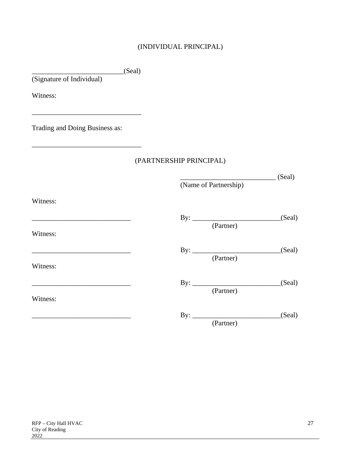# (INDIVIDUAL PRINCIPAL)

| (Seal)                                                                              |                                   |        |
|-------------------------------------------------------------------------------------|-----------------------------------|--------|
| (Signature of Individual)                                                           |                                   |        |
| Witness:                                                                            |                                   |        |
| <u> 1989 - Johann Barn, mars et al. (b. 1989)</u><br>Trading and Doing Business as: |                                   |        |
|                                                                                     | (PARTNERSHIP PRINCIPAL)           |        |
|                                                                                     | (Name of Partnership)             | (Seal) |
| Witness:                                                                            |                                   |        |
| Witness:                                                                            | By: $\frac{1}{(\text{ Partner})}$ | (Seal) |
|                                                                                     | By: $\qquad \qquad$<br>(Partner)  | (Seal) |
| Witness:<br><u> 1980 - Johann Barbara, martin amerikan personal (</u>               | By: $\qquad \qquad$<br>(Partner)  | (Seal) |
| Witness:                                                                            |                                   |        |
|                                                                                     | $By:$ (Partner)                   | (Seal) |
|                                                                                     |                                   |        |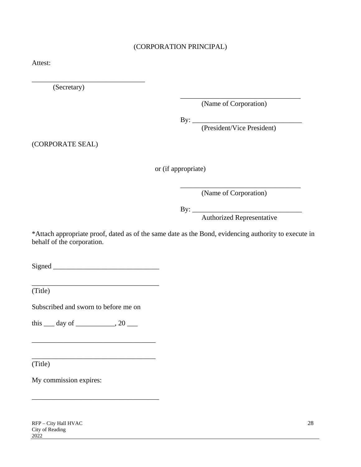#### (CORPORATION PRINCIPAL)

Attest:

(Secretary)

\_\_\_\_\_\_\_\_\_\_\_\_\_\_\_\_\_\_\_\_\_\_\_\_\_\_\_\_\_\_\_\_

\_\_\_\_\_\_\_\_\_\_\_\_\_\_\_\_\_\_\_\_\_\_\_\_\_\_\_\_\_\_\_\_\_\_ (Name of Corporation)

By: \_\_\_\_\_\_\_\_\_\_\_\_\_\_\_\_\_\_\_\_\_\_\_\_\_\_\_\_\_\_\_

(President/Vice President)

(CORPORATE SEAL)

or (if appropriate)

\_\_\_\_\_\_\_\_\_\_\_\_\_\_\_\_\_\_\_\_\_\_\_\_\_\_\_\_\_\_\_\_\_\_ (Name of Corporation)

By: \_\_\_\_\_\_\_\_\_\_\_\_\_\_\_\_\_\_\_\_\_\_\_\_\_\_\_\_\_\_\_

Authorized Representative

\*Attach appropriate proof, dated as of the same date as the Bond, evidencing authority to execute in behalf of the corporation.

Signed  $\Box$ 

\_\_\_\_\_\_\_\_\_\_\_\_\_\_\_\_\_\_\_\_\_\_\_\_\_\_\_\_\_\_\_\_\_\_\_\_

(Title)

Subscribed and sworn to before me on

this  $\rule{1em}{0.15mm}$  day of  $\rule{1em}{0.15mm}$   $\qquad$   $\qquad$   $\qquad$   $\qquad$   $\qquad$   $\qquad$   $\qquad$   $\qquad$   $\qquad$   $\qquad$   $\qquad$   $\qquad$   $\qquad$   $\qquad$   $\qquad$   $\qquad$   $\qquad$   $\qquad$   $\qquad$   $\qquad$   $\qquad$   $\qquad$   $\qquad$   $\qquad$   $\qquad$   $\qquad$   $\qquad$   $\qquad$   $\qquad$   $\qquad$ 

\_\_\_\_\_\_\_\_\_\_\_\_\_\_\_\_\_\_\_\_\_\_\_\_\_\_\_\_\_\_\_\_\_\_\_

\_\_\_\_\_\_\_\_\_\_\_\_\_\_\_\_\_\_\_\_\_\_\_\_\_\_\_\_\_\_\_\_\_\_\_

\_\_\_\_\_\_\_\_\_\_\_\_\_\_\_\_\_\_\_\_\_\_\_\_\_\_\_\_\_\_\_\_\_\_\_\_

(Title)

My commission expires:

RFP – City Hall HVAC 28 City of Reading 2022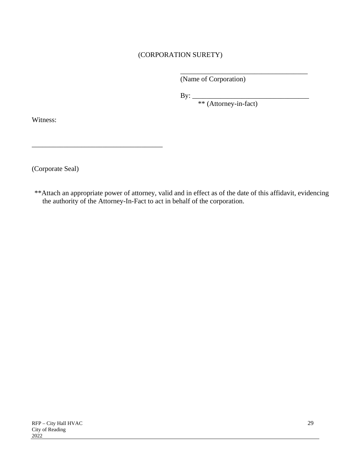# (CORPORATION SURETY)

(Name of Corporation)

By: \_\_\_\_\_\_\_\_\_\_\_\_\_\_\_\_\_\_\_\_\_\_\_\_\_\_\_\_\_\_\_\_\_

\*\* (Attorney-in-fact)

\_\_\_\_\_\_\_\_\_\_\_\_\_\_\_\_\_\_\_\_\_\_\_\_\_\_\_\_\_\_\_\_\_\_\_\_

Witness:

(Corporate Seal)

\_\_\_\_\_\_\_\_\_\_\_\_\_\_\_\_\_\_\_\_\_\_\_\_\_\_\_\_\_\_\_\_\_\_\_\_\_

\*\*Attach an appropriate power of attorney, valid and in effect as of the date of this affidavit, evidencing the authority of the Attorney-In-Fact to act in behalf of the corporation.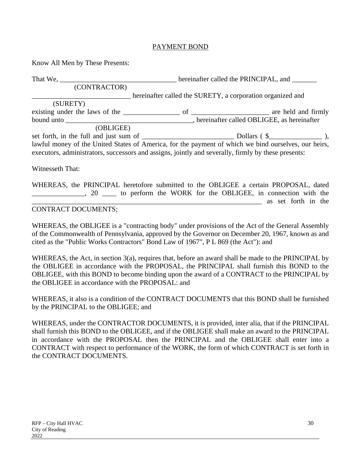#### PAYMENT BOND

Know All Men by These Presents:

| That We,                                                                                                                                                                                                                                                                                      |                                                                                                      | hereinafter called the PRINCIPAL, and |
|-----------------------------------------------------------------------------------------------------------------------------------------------------------------------------------------------------------------------------------------------------------------------------------------------|------------------------------------------------------------------------------------------------------|---------------------------------------|
| (CONTRACTOR)                                                                                                                                                                                                                                                                                  |                                                                                                      |                                       |
|                                                                                                                                                                                                                                                                                               | hereinafter called the SURETY, a corporation organized and                                           |                                       |
| (SURETY)                                                                                                                                                                                                                                                                                      |                                                                                                      |                                       |
|                                                                                                                                                                                                                                                                                               |                                                                                                      |                                       |
|                                                                                                                                                                                                                                                                                               |                                                                                                      |                                       |
| (OBLIGEE)                                                                                                                                                                                                                                                                                     |                                                                                                      |                                       |
|                                                                                                                                                                                                                                                                                               | set forth, in the full and just sum of $\frac{1}{\sqrt{2}}$ Dollars (\$                              |                                       |
|                                                                                                                                                                                                                                                                                               | lawful money of the United States of America, for the payment of which we bind ourselves, our heirs, |                                       |
|                                                                                                                                                                                                                                                                                               | executors, administrators, successors and assigns, jointly and severally, firmly by these presents:  |                                       |
| $\mathbf{W}U_{1}^{*}$ and $\mathbf{W}U_{2}^{*}$ and $\mathbf{W}U_{3}^{*}$ and $\mathbf{W}U_{4}^{*}$ and $\mathbf{W}U_{5}^{*}$ are $\mathbf{W}U_{6}^{*}$ and $\mathbf{W}U_{6}^{*}$ are $\mathbf{W}U_{6}^{*}$ and $\mathbf{W}U_{6}^{*}$ are $\mathbf{W}U_{6}^{*}$ and $\mathbf{W}U_{6}^{*}$ are |                                                                                                      |                                       |

Witnesseth That:

| WHEREAS, the PRINCIPAL heretofore submitted to the OBLIGEE a certain PROPOSAL, dated |                                                                       |  |  |  |  |  |  |                     |  |
|--------------------------------------------------------------------------------------|-----------------------------------------------------------------------|--|--|--|--|--|--|---------------------|--|
|                                                                                      | 20 ______ to perform the WORK for the OBLIGEE, in connection with the |  |  |  |  |  |  |                     |  |
|                                                                                      |                                                                       |  |  |  |  |  |  | as set forth in the |  |
| $CON$ TD A $CT$ DOCI IMENTS.                                                         |                                                                       |  |  |  |  |  |  |                     |  |

#### CONTRACT DOCUMENTS;

WHEREAS, the OBLIGEE is a "contracting body" under provisions of the Act of the General Assembly of the Commonwealth of Pennsylvania, approved by the Governor on December 20, 1967, known as and cited as the "Public Works Contractors" Bond Law of 1967", P L 869 (the Act"): and

WHEREAS, the Act, in section 3(a), requires that, before an award shall be made to the PRINCIPAL by the OBLIGEE in accordance with the PROPOSAL, the PRINCIPAL shall furnish this BOND to the OBLIGEE, with this BOND to become binding upon the award of a CONTRACT to the PRINCIPAL by the OBLIGEE in accordance with the PROPOSAL: and

WHEREAS, it also is a condition of the CONTRACT DOCUMENTS that this BOND shall be furnished by the PRINCIPAL to the OBLIGEE; and

WHEREAS, under the CONTRACTOR DOCUMENTS, it is provided, inter alia, that if the PRINCIPAL shall furnish this BOND to the OBLIGEE, and if the OBLIGEE shall make an award to the PRINCIPAL in accordance with the PROPOSAL then the PRINCIPAL and the OBLIGEE shall enter into a CONTRACT with respect to performance of the WORK, the form of which CONTRACT is set forth in the CONTRACT DOCUMENTS.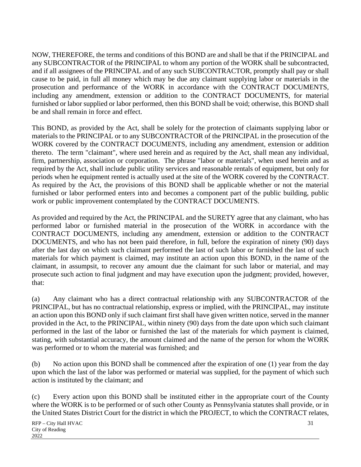NOW, THEREFORE, the terms and conditions of this BOND are and shall be that if the PRINCIPAL and any SUBCONTRACTOR of the PRINCIPAL to whom any portion of the WORK shall be subcontracted, and if all assignees of the PRINCIPAL and of any such SUBCONTRACTOR, promptly shall pay or shall cause to be paid, in full all money which may be due any claimant supplying labor or materials in the prosecution and performance of the WORK in accordance with the CONTRACT DOCUMENTS, including any amendment, extension or addition to the CONTRACT DOCUMENTS, for material furnished or labor supplied or labor performed, then this BOND shall be void; otherwise, this BOND shall be and shall remain in force and effect.

This BOND, as provided by the Act, shall be solely for the protection of claimants supplying labor or materials to the PRINCIPAL or to any SUBCONTRACTOR of the PRINCIPAL in the prosecution of the WORK covered by the CONTRACT DOCUMENTS, including any amendment, extension or addition thereto. The term "claimant", where used herein and as required by the Act, shall mean any individual, firm, partnership, association or corporation. The phrase "labor or materials", when used herein and as required by the Act, shall include public utility services and reasonable rentals of equipment, but only for periods when he equipment rented is actually used at the site of the WORK covered by the CONTRACT. As required by the Act, the provisions of this BOND shall be applicable whether or not the material furnished or labor performed enters into and becomes a component part of the public building, public work or public improvement contemplated by the CONTRACT DOCUMENTS.

As provided and required by the Act, the PRINCIPAL and the SURETY agree that any claimant, who has performed labor or furnished material in the prosecution of the WORK in accordance with the CONTRACT DOCUMENTS, including any amendment, extension or addition to the CONTRACT DOCUMENTS, and who has not been paid therefore, in full, before the expiration of ninety (90) days after the last day on which such claimant performed the last of such labor or furnished the last of such materials for which payment is claimed, may institute an action upon this BOND, in the name of the claimant, in assumpsit, to recover any amount due the claimant for such labor or material, and may prosecute such action to final judgment and may have execution upon the judgment; provided, however, that:

(a) Any claimant who has a direct contractual relationship with any SUBCONTRACTOR of the PRINCIPAL, but has no contractual relationship, express or implied, with the PRINCIPAL, may institute an action upon this BOND only if such claimant first shall have given written notice, served in the manner provided in the Act, to the PRINCIPAL, within ninety (90) days from the date upon which such claimant performed in the last of the labor or furnished the last of the materials for which payment is claimed, stating, with substantial accuracy, the amount claimed and the name of the person for whom the WORK was performed or to whom the material was furnished; and

(b) No action upon this BOND shall be commenced after the expiration of one (1) year from the day upon which the last of the labor was performed or material was supplied, for the payment of which such action is instituted by the claimant; and

(c) Every action upon this BOND shall be instituted either in the appropriate court of the County where the WORK is to be performed or of such other County as Pennsylvania statutes shall provide, or in the United States District Court for the district in which the PROJECT, to which the CONTRACT relates,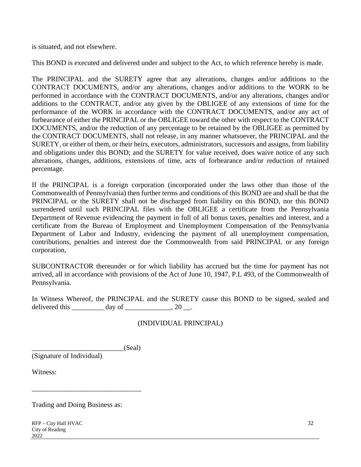is situated, and not elsewhere.

This BOND is executed and delivered under and subject to the Act, to which reference hereby is made.

The PRINCIPAL and the SURETY agree that any alterations, changes and/or additions to the CONTRACT DOCUMENTS, and/or any alterations, changes and/or additions to the WORK to be performed in accordance with the CONTRACT DOCUMENTS, and/or any alterations, changes and/or additions to the CONTRACT, and/or any given by the OBLIGEE of any extensions of time for the performance of the WORK in accordance with the CONTRACT DOCUMENTS, and/or any act of forbearance of either the PRINCIPAL or the OBLIGEE toward the other with respect to the CONTRACT DOCUMENTS, and/or the reduction of any percentage to be retained by the OBLIGEE as permitted by the CONTRACT DOCUMENTS, shall not release, in any manner whatsoever, the PRINCIPAL and the SURETY, or either of them, or their heirs, executors, administrators, successors and assigns, from liability and obligations under this BOND; and the SURETY for value received, does waive notice of any such alterations, changes, additions, extensions of time, acts of forbearance and/or reduction of retained percentage.

If the PRINCIPAL is a foreign corporation (incorporated under the laws other than those of the Commonwealth of Pennsylvania) then further terms and conditions of this BOND are and shall be that the PRINCIPAL or the SURETY shall not be discharged from liability on this BOND, nor this BOND surrendered until such PRINCIPAL files with the OBLIGEE a certificate from the Pennsylvania Department of Revenue evidencing the payment in full of all bonus taxes, penalties and interest, and a certificate from the Bureau of Employment and Unemployment Compensation of the Pennsylvania Department of Labor and Industry, evidencing the payment of all unemployment compensation, contributions, penalties and interest due the Commonwealth from said PRINCIPAL or any foreign corporation,

SUBCONTRACTOR thereunder or for which liability has accrued but the time for payment has not arrived, all in accordance with provisions of the Act of June 10, 1947, P.L 493, of the Commonwealth of Pennsylvania.

In Witness Whereof, the PRINCIPAL and the SURETY cause this BOND to be signed, sealed and delivered this  $\qquad \qquad \text{day of} \qquad \qquad .20 \qquad .$ 

(INDIVIDUAL PRINCIPAL)

(Signature of Individual)

Witness:

Trading and Doing Business as:

\_\_\_\_\_\_\_\_\_\_\_\_\_\_\_\_\_\_\_\_\_\_\_\_\_\_\_\_\_\_\_

RFP – City Hall HVAC 32 City of Reading 2022

\_\_\_\_\_\_\_\_\_\_\_\_\_\_\_\_\_\_\_\_\_\_\_\_\_\_(Seal)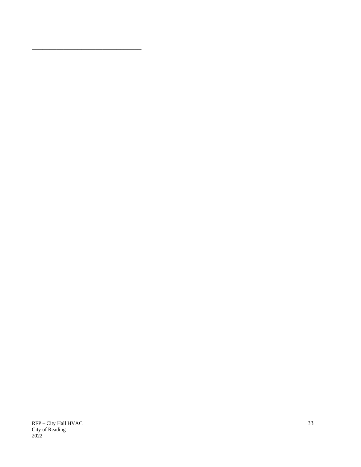\_\_\_\_\_\_\_\_\_\_\_\_\_\_\_\_\_\_\_\_\_\_\_\_\_\_\_\_\_\_\_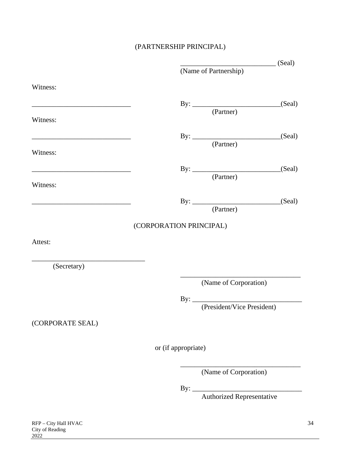# (PARTNERSHIP PRINCIPAL)

|                  | (Name of Partnership)                 | (Seal) |
|------------------|---------------------------------------|--------|
| Witness:         |                                       |        |
|                  |                                       |        |
|                  | By: <u>(Partner)</u>                  | (Seal) |
| Witness:         |                                       |        |
|                  | By: <u>(Partner)</u>                  | (Seal) |
| Witness:         |                                       |        |
|                  | By: $\qquad \qquad$                   | (Seal) |
| Witness:         | (Partner)                             |        |
|                  |                                       | (Seal) |
|                  | By: <u>(Partner)</u>                  |        |
|                  | (CORPORATION PRINCIPAL)               |        |
| Attest:          |                                       |        |
|                  |                                       |        |
| (Secretary)      |                                       |        |
|                  | (Name of Corporation)                 |        |
|                  | By: <u>(President/Vice President)</u> |        |
|                  |                                       |        |
| (CORPORATE SEAL) |                                       |        |
|                  | or (if appropriate)                   |        |
|                  |                                       |        |
|                  | (Name of Corporation)                 |        |
|                  | By:                                   |        |

Authorized Representative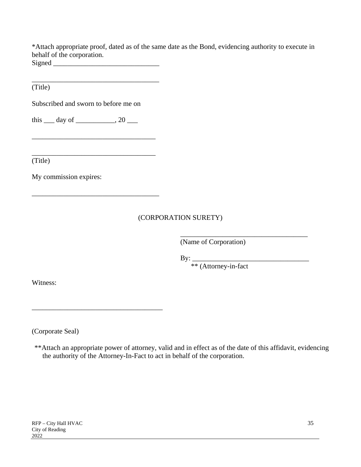\*Attach appropriate proof, dated as of the same date as the Bond, evidencing authority to execute in behalf of the corporation.

Signed \_\_\_\_\_\_\_\_\_\_\_\_\_\_\_\_\_\_\_\_\_\_\_\_\_\_\_\_\_\_

\_\_\_\_\_\_\_\_\_\_\_\_\_\_\_\_\_\_\_\_\_\_\_\_\_\_\_\_\_\_\_\_\_\_\_\_

(Title)

Subscribed and sworn to before me on

this  $\_\_$  day of  $\_\_$ , 20  $\_\_$ 

\_\_\_\_\_\_\_\_\_\_\_\_\_\_\_\_\_\_\_\_\_\_\_\_\_\_\_\_\_\_\_\_\_\_\_

\_\_\_\_\_\_\_\_\_\_\_\_\_\_\_\_\_\_\_\_\_\_\_\_\_\_\_\_\_\_\_\_\_\_\_\_

\_\_\_\_\_\_\_\_\_\_\_\_\_\_\_\_\_\_\_\_\_\_\_\_\_\_\_\_\_\_\_\_\_\_\_\_\_

\_\_\_\_\_\_\_\_\_\_\_\_\_\_\_\_\_\_\_\_\_\_\_\_\_\_\_\_\_\_\_\_\_\_\_ (Title)

My commission expires:

# (CORPORATION SURETY)

(Name of Corporation)

By: \_\_\_\_\_\_\_\_\_\_\_\_\_\_\_\_\_\_\_\_\_\_\_\_\_\_\_\_\_\_\_\_\_

\*\* (Attorney-in-fact

\_\_\_\_\_\_\_\_\_\_\_\_\_\_\_\_\_\_\_\_\_\_\_\_\_\_\_\_\_\_\_\_\_\_\_\_

Witness:

(Corporate Seal)

\*\*Attach an appropriate power of attorney, valid and in effect as of the date of this affidavit, evidencing the authority of the Attorney-In-Fact to act in behalf of the corporation.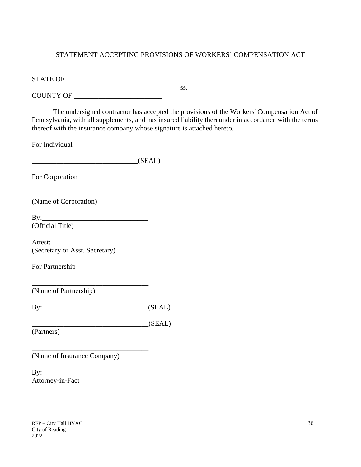# STATEMENT ACCEPTING PROVISIONS OF WORKERS' COMPENSATION ACT

ss.

STATE OF \_\_\_\_\_\_\_\_\_\_\_\_\_\_\_\_\_\_\_\_\_\_\_\_\_\_

COUNTY OF \_\_\_\_\_\_\_\_\_\_\_\_\_\_\_\_\_\_\_\_\_\_\_\_\_

The undersigned contractor has accepted the provisions of the Workers' Compensation Act of Pennsylvania, with all supplements, and has insured liability thereunder in accordance with the terms thereof with the insurance company whose signature is attached hereto.

For Individual

| $(\mathbf{C} \mathbf{\Gamma} \mathbf{A}^{\top})$ |  |
|--------------------------------------------------|--|
|                                                  |  |

\_\_\_\_\_\_\_\_\_\_\_\_\_\_\_\_\_\_\_\_\_\_\_\_\_\_\_\_\_\_

For Corporation

(Name of Corporation)

 $\mathbf{B} \mathbf{v}$ : (Official Title)

Attest: (Secretary or Asst. Secretary)

For Partnership

(Name of Partnership)

By:\_\_\_\_\_\_\_\_\_\_\_\_\_\_\_\_\_\_\_\_\_\_\_\_\_\_\_\_\_\_(SEAL)

\_\_\_\_\_\_\_\_\_\_\_\_\_\_\_\_\_\_\_\_\_\_\_\_\_\_\_\_\_\_\_\_\_

\_\_\_\_\_\_\_\_\_\_\_\_\_\_\_\_\_\_\_\_\_\_\_\_\_\_\_\_\_\_\_\_\_(SEAL)

(Partners)

\_\_\_\_\_\_\_\_\_\_\_\_\_\_\_\_\_\_\_\_\_\_\_\_\_\_\_\_\_\_\_\_\_ (Name of Insurance Company)

By:\_\_\_\_\_\_\_\_\_\_\_\_\_\_\_\_\_\_\_\_\_\_\_\_\_\_\_\_ Attorney-in-Fact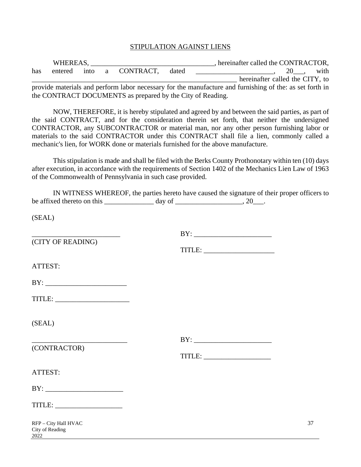#### STIPULATION AGAINST LIENS

| WHEREAS, |                                                                                                          |  |  |                          |       | hereinafter called the CONTRACTOR, |  |  |
|----------|----------------------------------------------------------------------------------------------------------|--|--|--------------------------|-------|------------------------------------|--|--|
| has      |                                                                                                          |  |  | entered into a CONTRACT. | dated | with<br>20.                        |  |  |
|          |                                                                                                          |  |  |                          |       | hereinafter called the CITY, to    |  |  |
|          | provide materials and perform labor necessary for the manufacture and furnishing of the: as set forth in |  |  |                          |       |                                    |  |  |
|          | the CONTRACT DOCUMENTS as prepared by the City of Reading.                                               |  |  |                          |       |                                    |  |  |

NOW, THEREFORE, it is hereby stipulated and agreed by and between the said parties, as part of the said CONTRACT, and for the consideration therein set forth, that neither the undersigned CONTRACTOR, any SUBCONTRACTOR or material man, nor any other person furnishing labor or materials to the said CONTRACTOR under this CONTRACT shall file a lien, commonly called a mechanic's lien, for WORK done or materials furnished for the above manufacture.

This stipulation is made and shall be filed with the Berks County Prothonotary within ten (10) days after execution, in accordance with the requirements of Section 1402 of the Mechanics Lien Law of 1963 of the Commonwealth of Pennsylvania in such case provided.

IN WITNESS WHEREOF, the parties hereto have caused the signature of their proper officers to be affixed thereto on this  $\frac{1}{2}$  day of  $\frac{1}{2}$ , 20

(SEAL)

|                                                 | $BY: \begin{tabular}{ c c c c } \hline \rule{0pt}{8ex} \multicolumn{3}{*}{\textbf{BY:}} \begin{tabular}{@{}c@{}} \multicolumn{3}{*}{\textbf{X1:}} \multicolumn{3}{*}{\textbf{X2:}} \multicolumn{3}{*}{\textbf{X3:}} \multicolumn{3}{*}{\textbf{X4:}} \multicolumn{3}{*}{\textbf{X5:}} \multicolumn{3}{*}{\textbf{X6:}} \multicolumn{3}{*}{\textbf{X7:}} \multicolumn{3}{*}{\textbf{X8:}} \multicolumn{3}{*}{\textbf{X9:}} \multicolumn{3}{*}{$                               |    |
|-------------------------------------------------|------------------------------------------------------------------------------------------------------------------------------------------------------------------------------------------------------------------------------------------------------------------------------------------------------------------------------------------------------------------------------------------------------------------------------------------------------------------------------|----|
| (CITY OF READING)                               | TITLE: ________________________                                                                                                                                                                                                                                                                                                                                                                                                                                              |    |
| ATTEST:                                         |                                                                                                                                                                                                                                                                                                                                                                                                                                                                              |    |
|                                                 |                                                                                                                                                                                                                                                                                                                                                                                                                                                                              |    |
|                                                 |                                                                                                                                                                                                                                                                                                                                                                                                                                                                              |    |
| (SEAL)                                          |                                                                                                                                                                                                                                                                                                                                                                                                                                                                              |    |
| (CONTRACTOR)                                    | $BY: \begin{tabular}{ c c c c } \hline \rule{0pt}{8ex} \multicolumn{3}{*}{\textbf{BY:}} \qquad \hspace{2ex} \textcolor{red}{\textbf{X}^{\mathsf{X}}}\qquad \hspace{2ex} \textcolor{blue}{\textbf{X}^{\mathsf{X}}}\qquad \hspace{2ex} \textcolor{blue}{\textbf{X}^{\mathsf{X}}}\qquad \textcolor{blue}{\textbf{X}^{\mathsf{X}}}\qquad \textcolor{blue}{\textbf{X}^{\mathsf{X}}}\qquad \textcolor{blue}{\textbf{X}^{\mathsf{X}}}\qquad \textcolor{blue}{\textbf{X}^{\mathsf{X$ |    |
| ATTEST:                                         |                                                                                                                                                                                                                                                                                                                                                                                                                                                                              |    |
| BY:                                             |                                                                                                                                                                                                                                                                                                                                                                                                                                                                              |    |
|                                                 |                                                                                                                                                                                                                                                                                                                                                                                                                                                                              |    |
| RFP - City Hall HVAC<br>City of Reading<br>2022 |                                                                                                                                                                                                                                                                                                                                                                                                                                                                              | 37 |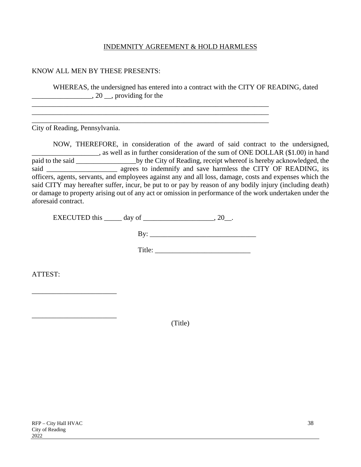#### INDEMNITY AGREEMENT & HOLD HARMLESS

#### KNOW ALL MEN BY THESE PRESENTS:

WHEREAS, the undersigned has entered into a contract with the CITY OF READING, dated  $\frac{1}{20}$ , 20  $\frac{1}{20}$ , providing for the

City of Reading, Pennsylvania.

NOW, THEREFORE, in consideration of the award of said contract to the undersigned, \_\_\_\_\_\_\_\_\_\_\_\_\_\_\_\_\_\_\_, as well as in further consideration of the sum of ONE DOLLAR (\$1.00) in hand paid to the said \_\_\_\_\_\_\_\_\_\_\_\_\_\_\_\_\_\_\_\_\_\_\_by the City of Reading, receipt whereof is hereby acknowledged, the said \_\_\_\_\_\_\_\_\_\_\_\_\_\_\_\_\_\_\_\_\_ agrees to indemnify and save harmless the CITY OF READING, its officers, agents, servants, and employees against any and all loss, damage, costs and expenses which the said CITY may hereafter suffer, incur, be put to or pay by reason of any bodily injury (including death) or damage to property arising out of any act or omission in performance of the work undertaken under the aforesaid contract.

EXECUTED this day of  $.20$ .

\_\_\_\_\_\_\_\_\_\_\_\_\_\_\_\_\_\_\_\_\_\_\_\_\_\_\_\_\_\_\_\_\_\_\_\_\_\_\_\_\_\_\_\_\_\_\_\_\_\_\_\_\_\_\_\_\_\_\_\_\_\_\_\_\_\_\_ \_\_\_\_\_\_\_\_\_\_\_\_\_\_\_\_\_\_\_\_\_\_\_\_\_\_\_\_\_\_\_\_\_\_\_\_\_\_\_\_\_\_\_\_\_\_\_\_\_\_\_\_\_\_\_\_\_\_\_\_\_\_\_\_\_\_\_ \_\_\_\_\_\_\_\_\_\_\_\_\_\_\_\_\_\_\_\_\_\_\_\_\_\_\_\_\_\_\_\_\_\_\_\_\_\_\_\_\_\_\_\_\_\_\_\_\_\_\_\_\_\_\_\_\_\_\_\_\_\_\_\_\_\_\_

By: \_\_\_\_\_\_\_\_\_\_\_\_\_\_\_\_\_\_\_\_\_\_\_\_\_\_\_\_\_\_

Title:

ATTEST:

\_\_\_\_\_\_\_\_\_\_\_\_\_\_\_\_\_\_\_\_\_\_\_\_

\_\_\_\_\_\_\_\_\_\_\_\_\_\_\_\_\_\_\_\_\_\_\_\_

(Title)